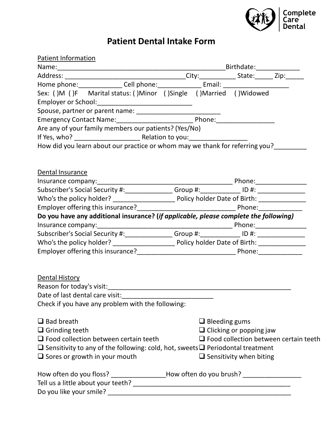

# **Patient Dental Intake Form**

| Patient Information                                     |                                                                                                |                                |                      |                                |                                              |
|---------------------------------------------------------|------------------------------------------------------------------------------------------------|--------------------------------|----------------------|--------------------------------|----------------------------------------------|
|                                                         |                                                                                                |                                |                      |                                |                                              |
|                                                         |                                                                                                |                                |                      |                                |                                              |
|                                                         |                                                                                                |                                |                      |                                |                                              |
|                                                         | Sex: ()M ()F Marital status: ()Minor ()Single ()Married ()Widowed                              |                                |                      |                                |                                              |
|                                                         |                                                                                                |                                |                      |                                |                                              |
|                                                         |                                                                                                |                                |                      |                                |                                              |
|                                                         |                                                                                                |                                |                      |                                |                                              |
|                                                         | Are any of your family members our patients? (Yes/No)                                          |                                |                      |                                |                                              |
|                                                         |                                                                                                |                                |                      |                                |                                              |
|                                                         | How did you learn about our practice or whom may we thank for referring you?                   |                                |                      |                                |                                              |
|                                                         |                                                                                                |                                |                      |                                |                                              |
|                                                         |                                                                                                |                                |                      |                                |                                              |
| Dental Insurance                                        |                                                                                                |                                |                      |                                |                                              |
|                                                         |                                                                                                |                                |                      |                                |                                              |
|                                                         | Subscriber's Social Security #: ________________Group #: _____________ ID #: _________________ |                                |                      |                                |                                              |
|                                                         |                                                                                                |                                |                      |                                |                                              |
|                                                         |                                                                                                |                                |                      |                                |                                              |
|                                                         | Do you have any additional insurance? (if applicable, please complete the following)           |                                |                      |                                |                                              |
|                                                         |                                                                                                |                                |                      |                                |                                              |
|                                                         | Subscriber's Social Security #: _______________Group #: _____________ ID #: _________________  |                                |                      |                                |                                              |
|                                                         |                                                                                                |                                |                      |                                |                                              |
|                                                         |                                                                                                |                                |                      |                                |                                              |
|                                                         |                                                                                                |                                |                      |                                |                                              |
|                                                         |                                                                                                |                                |                      |                                |                                              |
| <b>Dental History</b>                                   |                                                                                                |                                |                      |                                |                                              |
|                                                         |                                                                                                |                                |                      |                                |                                              |
|                                                         |                                                                                                |                                |                      |                                |                                              |
|                                                         | Check if you have any problem with the following:                                              |                                |                      |                                |                                              |
|                                                         |                                                                                                |                                |                      |                                |                                              |
| $\Box$ Bad breath                                       |                                                                                                |                                | $\Box$ Bleeding gums |                                |                                              |
| $\Box$ Grinding teeth                                   |                                                                                                | $\Box$ Clicking or popping jaw |                      |                                |                                              |
|                                                         | $\Box$ Food collection between certain teeth                                                   |                                |                      |                                | $\Box$ Food collection between certain teeth |
|                                                         | $\Box$ Sensitivity to any of the following: cold, hot, sweets $\Box$ Periodontal treatment     |                                |                      |                                |                                              |
| $\Box$ Sores or growth in your mouth                    |                                                                                                |                                |                      | $\Box$ Sensitivity when biting |                                              |
|                                                         |                                                                                                |                                |                      |                                |                                              |
|                                                         |                                                                                                |                                |                      |                                |                                              |
|                                                         |                                                                                                |                                |                      |                                |                                              |
|                                                         |                                                                                                |                                |                      |                                |                                              |
| How often do you floss?<br>Do you like your smile? ____ | ____________________How often do you brush? _____________________                              |                                |                      |                                |                                              |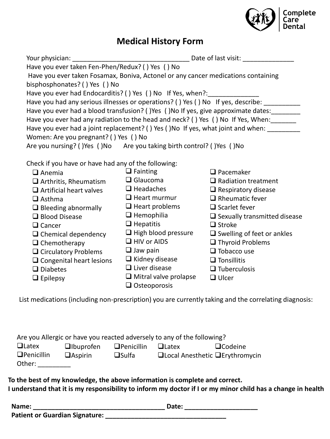

### **Medical History Form**

| Have you ever taken Fen-Phen/Redux? () Yes () No                                    |                                                                                   |                                     |  |  |  |  |
|-------------------------------------------------------------------------------------|-----------------------------------------------------------------------------------|-------------------------------------|--|--|--|--|
|                                                                                     | Have you ever taken Fosamax, Boniva, Actonel or any cancer medications containing |                                     |  |  |  |  |
| bisphosphonates? () Yes () No                                                       |                                                                                   |                                     |  |  |  |  |
| Have you ever had Endocarditis? () Yes () No If Yes, when?:                         |                                                                                   |                                     |  |  |  |  |
| Have you had any serious illnesses or operations? () Yes () No If yes, describe:    |                                                                                   |                                     |  |  |  |  |
| Have you ever had a blood transfusion? () Yes () No If yes, give approximate dates: |                                                                                   |                                     |  |  |  |  |
| Have you ever had any radiation to the head and neck? () Yes () No If Yes, When:    |                                                                                   |                                     |  |  |  |  |
| Have you ever had a joint replacement? () Yes ()No If yes, what joint and when:     |                                                                                   |                                     |  |  |  |  |
| Women: Are you pregnant? () Yes () No                                               |                                                                                   |                                     |  |  |  |  |
| Are you nursing? () Yes () No Are you taking birth control? () Yes () No            |                                                                                   |                                     |  |  |  |  |
|                                                                                     |                                                                                   |                                     |  |  |  |  |
| Check if you have or have had any of the following:                                 |                                                                                   |                                     |  |  |  |  |
| $\Box$ Anemia                                                                       | $\Box$ Fainting                                                                   | $\Box$ Pacemaker                    |  |  |  |  |
| $\Box$ Arthritis, Rheumatism                                                        | $\Box$ Glaucoma                                                                   | $\Box$ Radiation treatment          |  |  |  |  |
| $\Box$ Artificial heart valves                                                      | $\Box$ Headaches                                                                  | $\Box$ Respiratory disease          |  |  |  |  |
| $\Box$ Asthma                                                                       | $\Box$ Heart murmur                                                               | $\Box$ Rheumatic fever              |  |  |  |  |
| $\Box$ Bleeding abnormally                                                          | $\Box$ Heart problems                                                             | $\Box$ Scarlet fever                |  |  |  |  |
| $\Box$ Blood Disease                                                                | $\Box$ Hemophilia                                                                 | $\Box$ Sexually transmitted disease |  |  |  |  |
| $\Box$ Cancer                                                                       | $\Box$ Hepatitis                                                                  | $\Box$ Stroke                       |  |  |  |  |
| $\Box$ Chemical dependency                                                          | $\Box$ High blood pressure                                                        | $\Box$ Swelling of feet or ankles   |  |  |  |  |
| $\Box$ Chemotherapy                                                                 | $\Box$ HIV or AIDS                                                                | $\Box$ Thyroid Problems             |  |  |  |  |
| $\Box$ Circulatory Problems                                                         | $\Box$ Jaw pain                                                                   | $\Box$ Tobacco use                  |  |  |  |  |
| $\Box$ Congenital heart lesions                                                     | $\Box$ Kidney disease                                                             | $\Box$ Tonsillitis                  |  |  |  |  |
| $\Box$ Diabetes                                                                     | $\Box$ Liver disease                                                              | $\Box$ Tuberculosis                 |  |  |  |  |
| $\Box$ Epilepsy                                                                     | $\Box$ Mitral valve prolapse                                                      | $\Box$ Ulcer                        |  |  |  |  |
|                                                                                     | $\Box$ Osteoporosis                                                               |                                     |  |  |  |  |

List medications (including non-prescription) you are currently taking and the correlating diagnosis:

| Are you Allergic or have you reacted adversely to any of the following? |                    |                   |                                             |                |  |
|-------------------------------------------------------------------------|--------------------|-------------------|---------------------------------------------|----------------|--|
| $\Box$ Latex                                                            | <b>Q</b> Ibuprofen | $\Box$ Penicillin | $U$ Latex                                   | $\Box$ Codeine |  |
| $\Box$ Penicillin<br>Other:                                             | $\Box$ Aspirin     | $\Box$ Sulfa      | $\Box$ Local Anesthetic $\Box$ Erythromycin |                |  |

**To the best of my knowledge, the above information is complete and correct. I understand that it is my responsibility to inform my doctor if I or my minor child has a change in health**

| Name:                                 | Date: |
|---------------------------------------|-------|
| <b>Patient or Guardian Signature:</b> |       |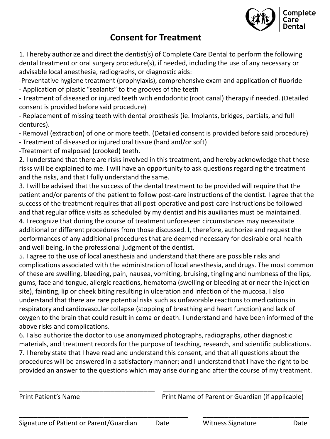

### **Consent for Treatment**

1. I hereby authorize and direct the dentist(s) of Complete Care Dental to perform the following dental treatment or oral surgery procedure(s), if needed, including the use of any necessary or advisable local anesthesia, radiographs, or diagnostic aids:

-Preventative hygiene treatment (prophylaxis), comprehensive exam and application of fluoride - Application of plastic "sealants" to the grooves of the teeth

- Treatment of diseased or injured teeth with endodontic (root canal) therapy if needed. (Detailed consent is provided before said procedure)

- Replacement of missing teeth with dental prosthesis (ie. Implants, bridges, partials, and full dentures).

- Removal (extraction) of one or more teeth. (Detailed consent is provided before said procedure)

- Treatment of diseased or injured oral tissue (hard and/or soft)

-Treatment of malposed (crooked) teeth.

2. I understand that there are risks involved in this treatment, and hereby acknowledge that these risks will be explained to me. I will have an opportunity to ask questions regarding the treatment and the risks, and that I fully understand the same.

3. I will be advised that the success of the dental treatment to be provided will require that the patient and/or parents of the patient to follow post-care instructions of the dentist. I agree that the success of the treatment requires that all post-operative and post-care instructions be followed and that regular office visits as scheduled by my dentist and his auxiliaries must be maintained. 4. I recognize that during the course of treatment unforeseen circumstances may necessitate additional or different procedures from those discussed. I, therefore, authorize and request the performances of any additional procedures that are deemed necessary for desirable oral health and well being, in the professional judgment of the dentist.

5. I agree to the use of local anesthesia and understand that there are possible risks and complications associated with the administration of local anesthesia, and drugs. The most common of these are swelling, bleeding, pain, nausea, vomiting, bruising, tingling and numbness of the lips, gums, face and tongue, allergic reactions, hematoma (swelling or bleeding at or near the injection site), fainting, lip or cheek biting resulting in ulceration and infection of the mucosa. I also understand that there are rare potential risks such as unfavorable reactions to medications in respiratory and cardiovascular collapse (stopping of breathing and heart function) and lack of oxygen to the brain that could result in coma or death. I understand and have been informed of the above risks and complications.

6. I also authorize the doctor to use anonymized photographs, radiographs, other diagnostic materials, and treatment records for the purpose of teaching, research, and scientific publications. 7. I hereby state that I have read and understand this consent, and that all questions about the procedures will be answered in a satisfactory manner; and I understand that I have the right to be provided an answer to the questions which may arise during and after the course of my treatment.

Print Patient's Name **Print Name Communist Parent Occass** Print Name of Parent or Guardian (if applicable)

\_\_\_\_\_\_\_\_\_\_\_\_\_\_\_\_\_\_\_\_\_\_\_\_\_\_\_\_\_\_\_\_\_\_\_\_\_ \_\_\_\_\_\_\_\_\_\_\_\_\_\_\_\_\_\_\_\_\_\_\_\_\_\_\_\_\_\_\_\_\_\_\_\_\_\_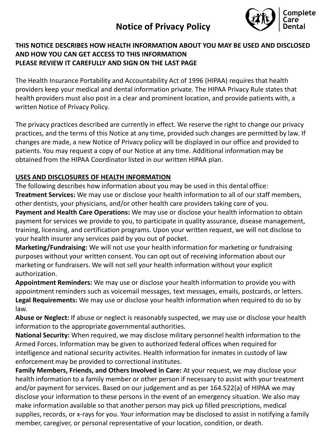# **Notice of Privacy Policy**



#### **THIS NOTICE DESCRIBES HOW HEALTH INFORMATION ABOUT YOU MAY BE USED AND DISCLOSED AND HOW YOU CAN GET ACCESS TO THIS INFORMATION PLEASE REVIEW IT CAREFULLY AND SIGN ON THE LAST PAGE**

The Health Insurance Portability and Accountability Act of 1996 (HIPAA) requires that health providers keep your medical and dental information private. The HIPAA Privacy Rule states that health providers must also post in a clear and prominent location, and provide patients with, a written Notice of Privacy Policy.

The privacy practices described are currently in effect. We reserve the right to change our privacy practices, and the terms of this Notice at any time, provided such changes are permitted by law. If changes are made, a new Notice of Privacy policy will be displayed in our office and provided to patients. You may request a copy of our Notice at any time. Additional information may be obtained from the HIPAA Coordinator listed in our written HIPAA plan.

#### **USES AND DISCLOSURES OF HEALTH INFORMATION**

The following describes how information about you may be used in this dental office: **Treatment Services:** We may use or disclose your health information to all of our staff members, other dentists, your physicians, and/or other health care providers taking care of you.

**Payment and Health Care Operations:** We may use or disclose your health information to obtain payment for services we provide to you, to participate in quality assurance, disease management, training, licensing, and certification programs. Upon your written request, we will not disclose to your health insurer any services paid by you out of pocket.

**Marketing/Fundraising:** We will not use your health information for marketing or fundraising purposes without your written consent. You can opt out of receiving information about our marketing or fundraisers. We will not sell your health information without your explicit authorization.

**Appointment Reminders:** We may use or disclose your health information to provide you with appointment reminders such as voicemail messages, text messages, emails, postcards, or letters. **Legal Requirements:** We may use or disclose your health information when required to do so by law.

**Abuse or Neglect:** If abuse or neglect is reasonably suspected, we may use or disclose your health information to the appropriate governmental authorities.

**National Security:** When required, we may disclose military personnel health information to the Armed Forces. Information may be given to authorized federal offices when required for intelligence and national security activites. Health information for inmates in custody of law enforcement may be provided to correctional institutes.

**Family Members, Friends, and Others Involved in Care:** At your request, we may disclose your health information to a family member or other person if necessary to assist with your treatment and/or payment for services. Based on our judgement and as per 164.522(a) of HIPAA we may disclose your information to these persons in the event of an emergency situation. We also may make information available so that another person may pick up filled prescriptions, medical supplies, records, or x-rays for you. Your information may be disclosed to assist in notifying a family member, caregiver, or personal representative of your location, condition, or death.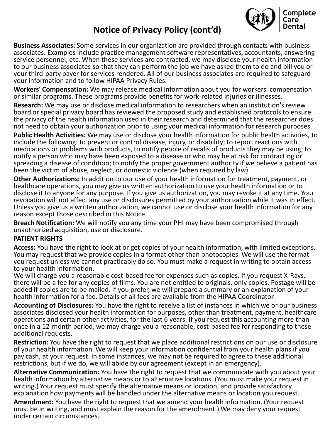# **Notice of Privacy Policy (cont'd)**



• **Business Associates:** Some services in our organization are provided through contacts with business associates. Examples include practice management software representatives, accountants, answering service personnel, etc. When these services are contracted, we may disclose your health information to our business associates so that they can perform the job we have asked them to do and bill you or your third-party payer for services rendered. All of our business associates are required to safeguard your information and to follow HIPAA Privacy Rules.

• **Workers' Compensation:** We may release medical information about you for workers' compensation or similar programs. These programs provide benefits for work-related injuries or illnesses.

• **Research:** We may use or disclose medical information to researchers when an institution's review board or special privacy board has reviewed the proposed study and established protocols to ensure the privacy of the health information used in their research and determined that the researcher does not need to obtain your authorization prior to using your medical information for research purposes.

• **Public Health Activities:** We may use or disclose your health information for public health activities, to include the following: to prevent or control disease, injury, or disability; to report reactions with medications or problems with products, to notify people of recalls of products they may be using; to notify a person who may have been exposed to a disease or who may be at risk for contracting or spreading a disease of condition; to notify the proper government authority if we believe a patient has been the victim of abuse, neglect, or domestic violence (when required by law).

• **Other Authorizations:** In addition to our use of your health information for treatment, payment, or healthcare operations, you may give us written authorization to use your health information or to disclose it to anyone for any purpose. If you give us authorization, you may revoke it at any time. Your revocation will not affect any use or disclosures permitted by your authorization while it was in effect. Unless you give us a written authorization, we cannot use or disclose your health information for any reason except those described in this Notice.

• **Breach Notification:** We will notify you any time your PHI may have been compromised through unauthorized acquisition, use or disclosure.

#### • **PATIENT RIGHTS**

• **Access:** You have the right to look at or get copies of your health information, with limited exceptions. You may request that we provide copies in a format other than photocopies. We will use the format you request unless we cannot practicably do so. You must make a request in writing to obtain access to your health information.

We will charge you a reasonable cost-based fee for expenses such as copies. If you request X-Rays, there will be a fee for any copies of films. You are not entitled to originals, only copies. Postage will be added if copies are to be mailed. If you prefer, we will prepare a summary or an explanation of your health information for a fee. Details of all fees are available from the HIPAA Coordinator.

• **Accounting of Disclosures:** You have the right to receive a list of instances in which we or our business associates disclosed your health information for purposes, other than treatment, payment, healthcare operations and certain other activities, for the last 6 years. If you request this accounting more than once in a 12-month period, we may charge you a reasonable, cost-based fee for responding to these additional requests.

• **Restriction:** You have the right to request that we place additional restrictions on our use or disclosure of your health information. We will keep your information confidential from your health plans if you pay cash, at your request. In some instances, we may not be required to agree to these additional restrictions, but if we do, we will abide by our agreement (except in an emergency).

• **Alternative Communication:** You have the right to request that we communicate with you about your health information by alternative means or to alternative locations. (You must make your request in writing.) Your request must specify the alternative means or location, and provide satisfactory explanation how payments will be handled under the alternative means or location you request.

• **Amendment:** You have the right to request that we amend your health information. (Your request must be in writing, and must explain the reason for the amendment.) We may deny your request under certain circumstances.